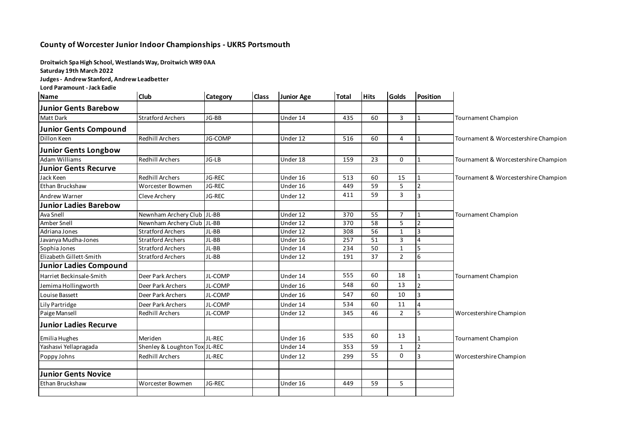## **County of Worcester Junior Indoor Championships - UKRS Portsmouth**

**Droitwich Spa High School, Westlands Way, Droitwich WR9 0AA**

**Saturday 19th March 2022**

**Judges - Andrew Stanford, Andrew Leadbetter**

**Lord Paramount - Jack Eadie**

| <b>Name</b>                   | <b>Club</b>                   | Category | <b>Class</b> | <b>Junior Age</b> | <b>Total</b> | <b>Hits</b> | <b>Golds</b>   | Position       |                                      |
|-------------------------------|-------------------------------|----------|--------------|-------------------|--------------|-------------|----------------|----------------|--------------------------------------|
| <b>Junior Gents Barebow</b>   |                               |          |              |                   |              |             |                |                |                                      |
| Matt Dark                     | <b>Stratford Archers</b>      | JG-BB    |              | Under 14          | 435          | 60          | 3              | $\mathbf{1}$   | Tournament Champion                  |
| <b>Junior Gents Compound</b>  |                               |          |              |                   |              |             |                |                |                                      |
| Dillon Keen                   | <b>Redhill Archers</b>        | JG-COMP  |              | Under 12          | 516          | 60          | 4              | $\mathbf{1}$   | Tournament & Worcestershire Champion |
| <b>Junior Gents Longbow</b>   |                               |          |              |                   |              |             |                |                |                                      |
| <b>Adam Williams</b>          | <b>Redhill Archers</b>        | JG-LB    |              | Under 18          | 159          | 23          | $\Omega$       | $\mathbf{1}$   | Tournament & Worcestershire Champion |
| <b>Junior Gents Recurve</b>   |                               |          |              |                   |              |             |                |                |                                      |
| Jack Keen                     | <b>Redhill Archers</b>        | JG-REC   |              | Under 16          | 513          | 60          | 15             | $\mathbf{1}$   | Tournament & Worcestershire Champion |
| Ethan Bruckshaw               | Worcester Bowmen              | JG-REC   |              | Under 16          | 449          | 59          | 5              | $\overline{2}$ |                                      |
| <b>Andrew Warner</b>          | Cleve Archery                 | JG-REC   |              | Under 12          | 411          | 59          | 3              | 3              |                                      |
| <b>Junior Ladies Barebow</b>  |                               |          |              |                   |              |             |                |                |                                      |
| Ava Snell                     | Newnham Archery Club JL-BB    |          |              | Under 12          | 370          | 55          | $\overline{7}$ | $\mathbf{1}$   | <b>Tournament Champion</b>           |
| Amber Snell                   | Newnham Archery Club JL-BB    |          |              | Under 12          | 370          | 58          | 5              | $\overline{2}$ |                                      |
| Adriana Jones                 | <b>Stratford Archers</b>      | $JL-BB$  |              | Under 12          | 308          | 56          | $\mathbf{1}$   | 3              |                                      |
| Javanya Mudha-Jones           | <b>Stratford Archers</b>      | JL-BB    |              | Under 16          | 257          | 51          | 3              | $\overline{4}$ |                                      |
| Sophia Jones                  | <b>Stratford Archers</b>      | JL-BB    |              | Under 14          | 234          | 50          | $\mathbf{1}$   | 5              |                                      |
| Elizabeth Gillett-Smith       | <b>Stratford Archers</b>      | JL-BB    |              | Under 12          | 191          | 37          | $\overline{2}$ | 6              |                                      |
| <b>Junior Ladies Compound</b> |                               |          |              |                   |              |             |                |                |                                      |
| Harriet Beckinsale-Smith      | Deer Park Archers             | JL-COMP  |              | Under 14          | 555          | 60          | 18             | $\mathbf{1}$   | <b>Tournament Champion</b>           |
| Jemima Hollingworth           | Deer Park Archers             | JL-COMP  |              | Under 16          | 548          | 60          | 13             | $\overline{2}$ |                                      |
| Louise Bassett                | Deer Park Archers             | JL-COMP  |              | Under 16          | 547          | 60          | 10             | 3              |                                      |
| Lily Partridge                | Deer Park Archers             | JL-COMP  |              | Under 14          | 534          | 60          | 11             | $\overline{4}$ |                                      |
| Paige Mansell                 | <b>Redhill Archers</b>        | JL-COMP  |              | Under 12          | 345          | 46          | $\overline{2}$ | 5              | Worcestershire Champion              |
| <b>Junior Ladies Recurve</b>  |                               |          |              |                   |              |             |                |                |                                      |
| Emilia Hughes                 | Meriden                       | JL-REC   |              | Under 16          | 535          | 60          | 13             | $\mathbf{1}$   | Tournament Champion                  |
| Yashasvi Yellapragada         | Shenley & Loughton Tox JL-REC |          |              | Under 14          | 353          | 59          | $\mathbf{1}$   | $\overline{2}$ |                                      |
| Poppy Johns                   | <b>Redhill Archers</b>        | JL-REC   |              | Under 12          | 299          | 55          | 0              | 3              | Worcestershire Champion              |
| <b>Junior Gents Novice</b>    |                               |          |              |                   |              |             |                |                |                                      |
| Ethan Bruckshaw               | Worcester Bowmen              | JG-REC   |              | Under 16          | 449          | 59          | 5              |                |                                      |
|                               |                               |          |              |                   |              |             |                |                |                                      |